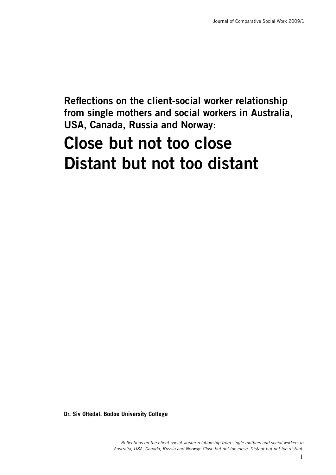**Reflections on the client-social worker relationship from single mothers and social workers in Australia, USA, Canada, Russia and Norway:**

# **Close but not too close Distant but not too distant**

**Dr. Siv Oltedal, Bodoe University College**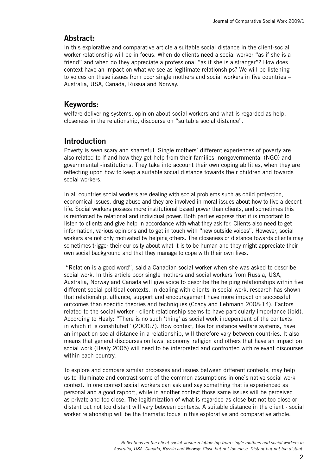# **Abstract:**

In this explorative and comparative article a suitable social distance in the client-social worker relationship will be in focus. When do clients need a social worker "as if she is a friend" and when do they appreciate a professional "as if she is a stranger"? How does context have an impact on what we see as legitimate relationships? We will be listening to voices on these issues from poor single mothers and social workers in five countries – Australia, USA, Canada, Russia and Norway.

# **Keywords:**

welfare delivering systems, opinion about social workers and what is regarded as help, closeness in the relationship, discourse on "suitable social distance".

# **Introduction**

Poverty is seen scary and shameful. Single mothers` different experiences of poverty are also related to if and how they get help from their families, nongovernmental (NGO) and governmental -institutions. They take into account their own coping abilities, when they are reflecting upon how to keep a suitable social distance towards their children and towards social workers.

In all countries social workers are dealing with social problems such as child protection, economical issues, drug abuse and they are involved in moral issues about how to live a decent life. Social workers possess more institutional based power than clients, and sometimes this is reinforced by relational and individual power. Both parties express that it is important to listen to clients and give help in accordance with what they ask for. Clients also need to get information, various opinions and to get in touch with "new outside voices". However, social workers are not only motivated by helping others. The closeness or distance towards clients may sometimes trigger their curiosity about what it is to be human and they might appreciate their own social background and that they manage to cope with their own lives.

 "Relation is a good word", said a Canadian social worker when she was asked to describe social work. In this article poor single mothers and social workers from Russia, USA, Australia, Norway and Canada will give voice to describe the helping relationships within five different social political contexts. In dealing with clients in social work, research has shown that relationship, alliance, support and encouragement have more impact on successful outcomes than specific theories and techniques (Coady and Lehmann 2008:14). Factors related to the social worker - client relationship seems to have particularly importance (ibid). According to Healy: "There is no such 'thing' as social work independent of the contexts in which it is constituted" (2000:7). How context, like for instance welfare systems, have an impact on social distance in a relationship, will therefore vary between countries. It also means that general discourses on laws, economy, religion and others that have an impact on social work (Healy 2005) will need to be interpreted and confronted with relevant discourses within each country.

To explore and compare similar processes and issues between different contexts, may help us to illuminate and contrast some of the common assumptions in one`s native social work context. In one context social workers can ask and say something that is experienced as personal and a good rapport, while in another context those same issues will be perceived as private and too close. The legitimization of what is regarded as close but not too close or distant but not too distant will vary between contexts. A suitable distance in the client - social worker relationship will be the thematic focus in this explorative and comparative article.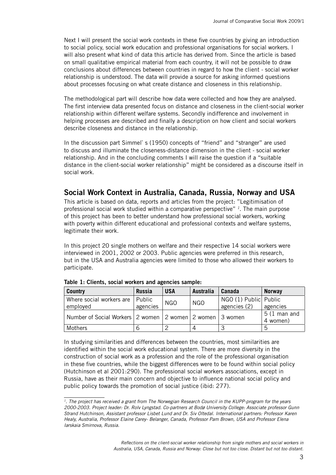Next I will present the social work contexts in these five countries by giving an introduction to social policy, social work education and professional organisations for social workers. I will also present what kind of data this article has derived from. Since the article is based on small qualitative empirical material from each country, it will not be possible to draw conclusions about differences between countries in regard to how the client - social worker relationship is understood. The data will provide a source for asking informed questions about processes focusing on what create distance and closeness in this relationship.

The methodological part will describe how data were collected and how they are analysed. The first interview data presented focus on distance and closeness in the client-social worker relationship within different welfare systems. Secondly indifference and involvement in helping processes are described and finally a description on how client and social workers describe closeness and distance in the relationship.

In the discussion part Simmel's (1950) concepts of "friend" and "stranger" are used to discuss and illuminate the closeness-distance dimension in the client - social worker relationship. And in the concluding comments I will raise the question if a "suitable distance in the client-social worker relationship" might be considered as a discourse itself in social work.

# **Social Work Context in Australia, Canada, Russia, Norway and USA**

This article is based on data, reports and articles from the project: "Legitimisation of professional social work studied within a comparative perspective" *1*. The main purpose of this project has been to better understand how professional social workers, working with poverty within different educational and professional contexts and welfare systems, legitimate their work.

In this project 20 single mothers on welfare and their respective 14 social workers were interviewed in 2001, 2002 or 2003. Public agencies were preferred in this research, but in the USA and Australia agencies were limited to those who allowed their workers to participate.

| <b>Country</b>                                           | <b>Russia</b> | <b>USA</b> | Australia  | Canada                | <b>Norway</b>                      |
|----------------------------------------------------------|---------------|------------|------------|-----------------------|------------------------------------|
| Where social workers are                                 | Public        | <b>NGO</b> | <b>NGO</b> | NGO (1) Public Public |                                    |
| employed                                                 | agencies      |            |            | agencies (2)          | agencies                           |
| Number of Social Workers 2 women 2 women 2 women 3 women |               |            |            |                       | $5(1 \text{ man and})$<br>4 women) |
| Mothers                                                  |               |            |            |                       | 5                                  |

**Table 1: Clients, social workers and agencies sample:**

In studying similarities and differences between the countries, most similarities are identified within the social work educational system. There are more diversity in the construction of social work as a profession and the role of the professional organisation in these five countries, while the biggest differences were to be found within social policy (Hutchinson et al 2001:290). The professional social workers associations, except in Russia, have as their main concern and objective to influence national social policy and public policy towards the promotion of social justice (ibid: 277).

*<sup>1.</sup> The project has received a grant from The Norwegian Research Council in the KUPP-program for the years 2000-2003. Project leader: Dr. Rolv Lyngstad. Co-partners at Bodø University College: Associate professor Gunn Strand Hutchinson, Assistant professor Lisbet Lund and Dr. Siv Oltedal. International partners: Professor Karen Healy, Australia, Professor Elaine Carey- Belanger, Canada, Professor Pam Brown, USA and Professor Elena Iarskaia Smirnova, Russia.*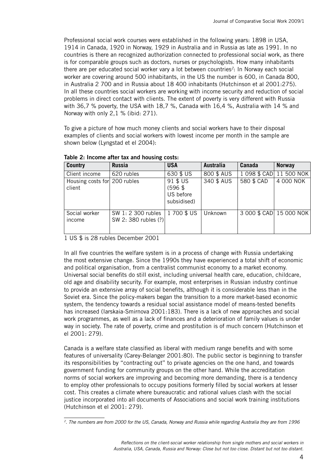Professional social work courses were established in the following years: 1898 in USA, 1914 in Canada, 1920 in Norway, 1929 in Australia and in Russia as late as 1991. In no countries is there an recognized authorization connected to professional social work, as there is for comparable groups such as doctors, nurses or psychologists. How many inhabitants there are per educated social worker vary a lot between countries*2*: In Norway each social worker are covering around 500 inhabitants, in the US the number is 600, in Canada 800, in Australia 2 700 and in Russia about 18 400 inhabitants (Hutchinson et al 2001:275). In all these countries social workers are working with income security and reduction of social problems in direct contact with clients. The extent of poverty is very different with Russia with 36,7 % poverty, the USA with 18,7 %, Canada with 16,4 %, Australia with 14 % and Norway with only 2,1 % (ibid: 271).

To give a picture of how much money clients and social workers have to their disposal examples of clients and social workers with lowest income per month in the sample are shown below (Lyngstad et el 2004):

| <b>Country</b>                         | <b>Russia</b>                              | <b>USA</b>                                        | <b>Australia</b> | Canada     | <b>Norway</b>             |
|----------------------------------------|--------------------------------------------|---------------------------------------------------|------------------|------------|---------------------------|
| Client income                          | 620 rubles                                 | 630 \$ US                                         | 800 \$ AUS       |            | 1 098 \$ CAD   11 500 NOK |
| Housing costs for 200 rubles<br>client |                                            | 91 \$ US<br>$(596$ \$<br>US before<br>subsidised) | 340 \$ AUS       | 580 \$ CAD | 4 000 NOK                 |
| Social worker<br>income                | SW 1: 2 300 rubles<br>SW 2: 380 rubles (?) | 1700 \$ US                                        | Unknown          |            | 3 000 \$ CAD 15 000 NOK   |

|  |  |  |  |  | Table 2: Income after tax and housing costs: |  |
|--|--|--|--|--|----------------------------------------------|--|
|--|--|--|--|--|----------------------------------------------|--|

1 US \$ is 28 rubles December 2001

In all five countries the welfare system is in a process of change with Russia undertaking the most extensive change. Since the 1990s they have experienced a total shift of economic and political organisation, from a centralist communist economy to a market economy. Universal social benefits do still exist, including universal health care, education, childcare, old age and disability security. For example, most enterprises in Russian industry continue to provide an extensive array of social benefits, although it is considerable less than in the Soviet era. Since the policy-makers began the transition to a more market-based economic system, the tendency towards a residual social assistance model of means-tested benefits has increased (Iarskaia-Smirnova 2001:183). There is a lack of new approaches and social work programmes, as well as a lack of finances and a deterioration of family values is under way in society. The rate of poverty, crime and prostitution is of much concern (Hutchinson et el 2001: 279).

Canada is a welfare state classified as liberal with medium range benefits and with some features of universality (Carey-Belanger 2001:80). The public sector is beginning to transfer its responsibilities by "contracting out" to private agencies on the one hand, and towards government funding for community groups on the other hand. While the accreditation norms of social workers are improving and becoming more demanding, there is a tendency to employ other professionals to occupy positions formerly filled by social workers at lesser cost. This creates a climate where bureaucratic and rational values clash with the social justice incorporated into all documents of Associations and social work training institutions (Hutchinson et el 2001: 279).

*<sup>2.</sup> The numbers are from 2000 for the US, Canada, Norway and Russia while regarding Australia they are from 1996*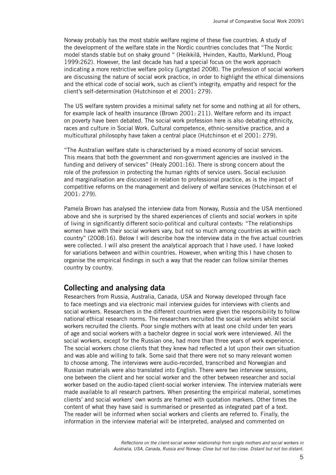Norway probably has the most stable welfare regime of these five countries. A study of the development of the welfare state in the Nordic countries concludes that "The Nordic model stands stable but on shaky ground " (Heikkilä, Hvinden, Kautto, Marklund, Ploug 1999:262). However, the last decade has had a special focus on the work approach indicating a more restrictive welfare policy (Lyngstad 2008). The profession of social workers are discussing the nature of social work practice, in order to highlight the ethical dimensions and the ethical code of social work, such as client's integrity, empathy and respect for the client's self-determination (Hutchinson et el 2001: 279).

The US welfare system provides a minimal safety net for some and nothing at all for others, for example lack of health insurance (Brown 2001: 211). Welfare reform and its impact on poverty have been debated. The social work profession here is also debating ethnicity, races and culture in Social Work. Cultural competence, ethnic-sensitive practice, and a multicultural philosophy have taken a central place (Hutchinson et el 2001: 279).

"The Australian welfare state is characterised by a mixed economy of social services. This means that both the government and non-government agencies are involved in the funding and delivery of services" (Healy 2001:16). There is strong concern about the role of the profession in protecting the human rights of service users. Social exclusion and marginalisation are discussed in relation to professional practice, as is the impact of competitive reforms on the management and delivery of welfare services (Hutchinson et el 2001: 279).

Pamela Brown has analysed the interview data from Norway, Russia and the USA mentioned above and she is surprised by the shared experiences of clients and social workers in spite of living in significantly different socio-political and cultural contexts: "The relationships women have with their social workers vary, but not so much among countries as within each country" (2008:16). Below I will describe how the interview data in the five actual countries were collected. I will also present the analytical approach that I have used. I have looked for variations between and within countries. However, when writing this I have chosen to organise the empirical findings in such a way that the reader can follow similar themes country by country.

#### **Collecting and analysing data**

Researchers from Russia, Australia, Canada, USA and Norway developed through face to face meetings and via electronic mail interview guides for interviews with clients and social workers. Researchers in the different countries were given the responsibility to follow national ethical research norms. The researchers recruited the social workers whilst social workers recruited the clients. Poor single mothers with at least one child under ten years of age and social workers with a bachelor degree in social work were interviewed. All the social workers, except for the Russian one, had more than three years of work experience. The social workers chose clients that they knew had reflected a lot upon their own situation and was able and willing to talk. Some said that there were not so many relevant women to choose among. The interviews were audio-recorded, transcribed and Norwegian and Russian materials were also translated into English. There were two interview sessions, one between the client and her social worker and the other between researcher and social worker based on the audio-taped client-social worker interview. The interview materials were made available to all research partners. When presenting the empirical material, sometimes clients' and social workers' own words are framed with quotation markers. Other times the content of what they have said is summarised or presented as integrated part of a text. The reader will be informed when social workers and clients are referred to. Finally, the information in the interview material will be interpreted, analysed and commented on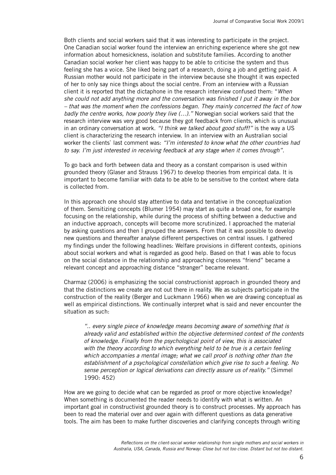Both clients and social workers said that it was interesting to participate in the project. One Canadian social worker found the interview an enriching experience where she got new information about homesickness, isolation and substitute families. According to another Canadian social worker her client was happy to be able to criticise the system and thus feeling she has a voice. She liked being part of a research, doing a job and getting paid. A Russian mother would not participate in the interview because she thought it was expected of her to only say nice things about the social centre. From an interview with a Russian client it is reported that the dictaphone in the research interview confused them: "*When she could not add anything more and the conversation was finished I put it away in the box – that was the moment when the confessions began. They mainly concerned the fact of how badly the centre works, how poorly they live (…)."* Norwegian social workers said that the research interview was very good because they got feedback from clients, which is unusual in an ordinary conversation at work. *"I think we talked about good stuff!"* is the way a US client is characterizing the research interview. In an interview with an Australian social worker the clients` last comment was: *"I'm interested to know what the other countries had to say. I'm just interested in receiving feedback at any stage when it comes through".*

To go back and forth between data and theory as a constant comparison is used within grounded theory (Glaser and Strauss 1967) to develop theories from empirical data. It is important to become familiar with data to be able to be sensitive to the context where data is collected from.

In this approach one should stay attentive to data and tentative in the conceptualization of them. Sensitizing concepts (Blumer 1954) may start as quite a broad one, for example focusing on the relationship, while during the process of shifting between a deductive and an inductive approach, concepts will become more scrutinized. I approached the material by asking questions and then I grouped the answers. From that it was possible to develop new questions and thereafter analyse different perspectives on central issues. I gathered my findings under the following headlines: Welfare provisions in different contexts, opinions about social workers and what is regarded as good help. Based on that I was able to focus on the social distance in the relationship and approaching closeness "friend" became a relevant concept and approaching distance "stranger" became relevant.

Charmaz (2006) is emphasizing the social constructionist approach in grounded theory and that the distinctions we create are not out there in reality. We as subjects participate in the construction of the reality (Berger and Luckmann 1966) when we are drawing conceptual as well as empirical distinctions. We continually interpret what is said and never encounter the situation as such:

*".. every single piece of knowledge means becoming aware of something that is already valid and established within the objective determined context of the contents of knowledge. Finally from the psychological point of view, this is associated with the theory according to which everything held to be true is a certain feeling which accompanies a mental image; what we call proof is nothing other than the establishment of a psychological constellation which give rise to such a feeling. No sense perception or logical derivations can directly assure us of reality."* (Simmel 1990: 452)

How are we going to decide what can be regarded as proof or more objective knowledge? When something is documented the reader needs to identify with what is written. An important goal in constructivist grounded theory is to construct processes. My approach has been to read the material over and over again with different questions as data generative tools. The aim has been to make further discoveries and clarifying concepts through writing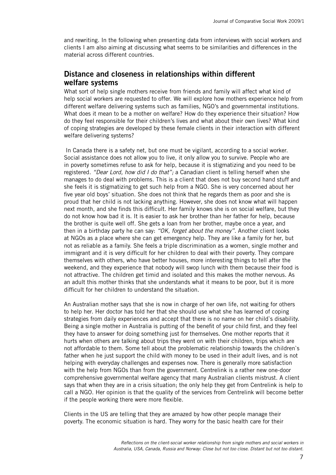and rewriting. In the following when presenting data from interviews with social workers and clients I am also aiming at discussing what seems to be similarities and differences in the material across different countries.

#### **Distance and closeness in relationships within different welfare systems**

What sort of help single mothers receive from friends and family will affect what kind of help social workers are requested to offer. We will explore how mothers experience help from different welfare delivering systems such as families, NGO's and governmental institutions. What does it mean to be a mother on welfare? How do they experience their situation? How do they feel responsible for their children's lives and what about their own lives? What kind of coping strategies are developed by these female clients in their interaction with different welfare delivering systems?

 In Canada there is a safety net, but one must be vigilant, according to a social worker. Social assistance does not allow you to live, it only allow you to survive. People who are in poverty sometimes refuse to ask for help, because it is stigmatizing and you need to be registered. *"Dear Lord, how did I do that";* a Canadian client is telling herself when she manages to do deal with problems. This is a client that does not buy second hand stuff and she feels it is stigmatizing to get such help from a NGO. She is very concerned about her five year old boys' situation. She does not think that he regards them as poor and she is proud that her child is not lacking anything. However, she does not know what will happen next month, and she finds this difficult. Her family knows she is on social welfare, but they do not know how bad it is. It is easier to ask her brother than her father for help, because the brother is quite well off. She gets a loan from her brother, maybe once a year, and then in a birthday party he can say: *"OK, forget about the money".* Another client looks at NGOs as a place where she can get emergency help. They are like a family for her, but not as reliable as a family. She feels a triple discrimination as a women, single mother and immigrant and it is very difficult for her children to deal with their poverty. They compare themselves with others, who have better houses, more interesting things to tell after the weekend, and they experience that nobody will swop lunch with them because their food is not attractive. The children get timid and isolated and this makes the mother nervous. As an adult this mother thinks that she understands what it means to be poor, but it is more difficult for her children to understand the situation.

An Australian mother says that she is now in charge of her own life, not waiting for others to help her. Her doctor has told her that she should use what she has learned of coping strategies from daily experiences and accept that there is no name on her child`s disability. Being a single mother in Australia is putting of the benefit of your child first, and they feel they have to answer for doing something just for themselves. One mother reports that it hurts when others are talking about trips they went on with their children, trips which are not affordable to them. Some tell about the problematic relationship towards the children`s father when he just support the child with money to be used in their adult lives, and is not helping with everyday challenges and expenses now. There is generally more satisfaction with the help from NGOs than from the government. Centrelink is a rather new one-door comprehensive governmental welfare agency that many Australian clients mistrust. A client says that when they are in a crisis situation; the only help they get from Centrelink is help to call a NGO. Her opinion is that the quality of the services from Centrelink will become better if the people working there were more flexible.

Clients in the US are telling that they are amazed by how other people manage their poverty. The economic situation is hard. They worry for the basic health care for their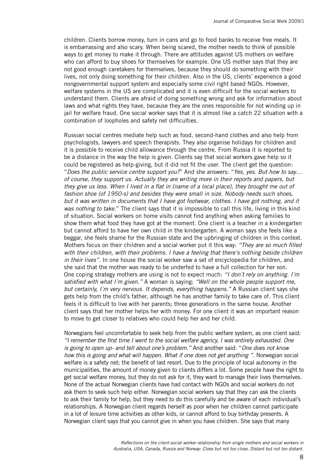children. Clients borrow money, turn in cans and go to food banks to receive free meals. It is embarrassing and also scary. When being scared, the mother needs to think of possible ways to get money to make it through. There are attitudes against US mothers on welfare who can afford to buy shoes for themselves for example. One US mother says that they are not good enough caretakers for themselves, because they should do something with their lives, not only doing something for their children. Also in the US, clients' experience a good nongovernmental support system and especially some civil right based NGOs. However, welfare systems in the US are complicated and it is even difficult for the social workers to understand them. Clients are afraid of doing something wrong and ask for information about laws and what rights they have, because they are the ones responsible for not winding up in jail for welfare fraud. One social worker says that it is almost like a catch 22 situation with a combination of loopholes and safety net difficulties.

Russian social centres mediate help such as food, second-hand clothes and also help from psychologists, lawyers and speech therapists. They also organise holidays for children and it is possible to receive child allowance through the centre. From Russia it is reported to be a distance in the way the help is given. Clients say that social workers gave help so it could be registered as help-giving, but it did not fit the user. The client get the question: "*Does the public service centre support you?*" And she answers: "*Yes, yes. But how to say… of course, they support us. Actually they are writing more in their reports and papers, but they give us less. When I lived in a flat in (name of a local place), they brought me out of fashion shoe (of 1950-s) and besides they were small in size. Nobody needs such shoes, but it was written in documents that I have got footwear, clothes. I have got nothing, and it was nothing to take*." The client says that it is impossible to call this life, living in this kind of situation. Social workers on home visits cannot find anything when asking families to show them what food they have got at the moment. One client is a teacher in a kindergarten but cannot afford to have her own child in the kindergarten. A woman says she feels like a beggar, she feels shame for the Russian state and the upbringing of children in this context. Mothers focus on their children and a social worker put it this way: *"They are so much filled with their children, with their problems. I have a feeling that there´s nothing beside children in their lives".* In one house the social worker saw a set of encyclopedia for children, and she said that the mother was ready to be underfed to have a full collection for her son. One coping strategy mothers are using is not to expect much: *"I don´t rely on anything. I´m satisfied with what I´m given."* A woman is saying: *"Well on the whole people support me, but certainly, I´m very nervous. It depends, everything happens."* A Russian client says she gets help from the child's father, although he has another family to take care of. This client feels it is difficult to live with her parents; three generations in the same house. Another client says that her mother helps her with money. For one client it was an important reason to move to get closer to relatives who could help her and her child.

Norwegians feel uncomfortable to seek help from the public welfare system, as one client said: *"I remember the first time I went to the social welfare agency, I was entirely exhausted. One is going to open up- and tell about one's problem."* And another said: "*One does not know how this is going and what will happen. What if one does not get anything "*. Norwegian social welfare is a safety net; the benefit of last resort. Due to the principle of local autonomy in the municipalities, the amount of money given to clients differs a lot. Some people have the right to get social welfare money, but they do not ask for it, they want to manage their lives themselves. None of the actual Norwegian clients have had contact with NGOs and social workers do not ask them to seek such help either. Norwegian social workers say that they can ask the clients to ask their family for help, but they need to do this carefully and be aware of each individual's relationships. A Norwegian client regards herself as poor when her children cannot participate in a lot of leisure time activities as other kids, or cannot afford to buy birthday presents. A Norwegian client says that you cannot give in when you have children. She says that many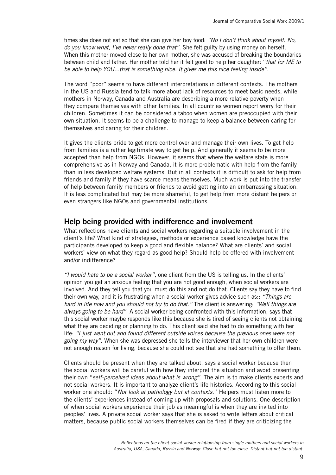times she does not eat so that she can give her boy food: *"No I don´t think about myself. No, do you know what, I´ve never really done that"*. She felt guilty by using money on herself. When this mother moved close to her own mother, she was accused of breaking the boundaries between child and father. Her mother told her it felt good to help her daughter: "*that for ME to be able to help YOU...that is something nice. It gives me this nice feeling inside".* 

The word "poor" seems to have different interpretations in different contexts. The mothers in the US and Russia tend to talk more about lack of resources to meet basic needs, while mothers in Norway, Canada and Australia are describing a more relative poverty when they compare themselves with other families. In all countries women report worry for their children. Sometimes it can be considered a taboo when women are preoccupied with their own situation. It seems to be a challenge to manage to keep a balance between caring for themselves and caring for their children.

It gives the clients pride to get more control over and manage their own lives. To get help from families is a rather legitimate way to get help. And generally it seems to be more accepted than help from NGOs. However, it seems that where the welfare state is more comprehensive as in Norway and Canada, it is more problematic with help from the family than in less developed welfare systems. But in all contexts it is difficult to ask for help from friends and family if they have scarce means themselves. Much work is put into the transfer of help between family members or friends to avoid getting into an embarrassing situation. It is less complicated but may be more shameful, to get help from more distant helpers or even strangers like NGOs and governmental institutions.

## **Help being provided with indifference and involvement**

What reflections have clients and social workers regarding a suitable involvement in the client`s life? What kind of strategies, methods or experience based knowledge have the participants developed to keep a good and flexible balance? What are clients` and social workers` view on what they regard as good help? Should help be offered with involvement and/or indifference?

*"I would hate to be a social worker",* one client from the US is telling us. In the clients' opinion you get an anxious feeling that you are not good enough, when social workers are involved. And they tell you that you must do this and not do that. Clients say they have to find their own way, and it is frustrating when a social worker gives advice such as:: *"Things are hard in life now and you should not try to do that."* The client is answering: *"Well things are always going to be hard".* A social worker being confronted with this information, says that this social worker maybe responds like this because she is tired of seeing clients not obtaining what they are deciding or planning to do. This client said she had to do something with her life: *"I just went out and found different outside voices because the previous ones were not going my way"*. When she was depressed she tells the interviewer that her own children were not enough reason for living, because she could not see that she had something to offer them.

Clients should be present when they are talked about, says a social worker because then the social workers will be careful with how they interpret the situation and avoid presenting their own "*self-perceived ideas about what is wrong".* The aim is to make clients experts and not social workers. It is important to analyze client's life histories. According to this social worker one should: "*Not look at pathology but at contexts*." Helpers must listen more to the clients' experiences instead of coming up with proposals and solutions. One description of when social workers experience their job as meaningful is when they are invited into peoples' lives. A private social worker says that she is asked to write letters about critical matters, because public social workers themselves can be fired if they are criticizing the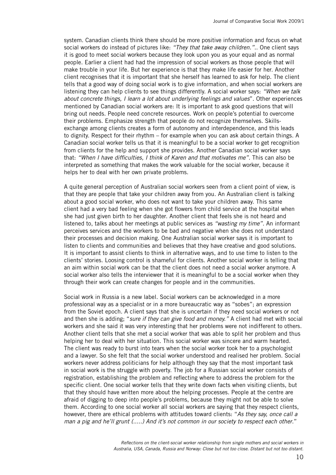system. Canadian clients think there should be more positive information and focus on what social workers do instead of pictures like: *"They that take away children.".*. One client says it is good to meet social workers because they look upon you as your equal and as normal people. Earlier a client had had the impression of social workers as those people that will make trouble in your life. But her experience is that they make life easier for her. Another client recognises that it is important that she herself has learned to ask for help. The client tells that a good way of doing social work is to give information, and when social workers are listening they can help clients to see things differently. A social worker says: *"When we talk about concrete things, I learn a lot about underlying feelings and values*". Other experiences mentioned by Canadian social workers are: It is important to ask good questions that will bring out needs. People need concrete resources. Work on people's potential to overcome their problems. Emphasize strength that people do not recognize themselves. Skillsexchange among clients creates a form of autonomy and interdependence, and this leads to dignity. Respect for their rhythm – for example when you can ask about certain things. A Canadian social worker tells us that it is meaningful to be a social worker to get recognition from clients for the help and support she provides. Another Canadian social worker says that: *"When I have difficulties, I think of Karen and that motivates me".* This can also be interpreted as something that makes the work valuable for the social worker, because it helps her to deal with her own private problems.

A quite general perception of Australian social workers seen from a client point of view, is that they are people that take your children away from you. An Australian client is talking about a good social worker, who does not want to take your children away. This same client had a very bad feeling when she got flowers from child service at the hospital when she had just given birth to her daughter. Another client that feels she is not heard and listened to, talks about her meetings at public services as *"wasting my time".* An informant perceives services and the workers to be bad and negative when she does not understand their processes and decision making. One Australian social worker says it is important to listen to clients and communities and believes that they have creative and good solutions. It is important to assist clients to think in alternative ways, and to use time to listen to the clients' stories. Loosing control is shameful for clients. Another social worker is telling that an aim within social work can be that the client does not need a social worker anymore. A social worker also tells the interviewer that it is meaningful to be a social worker when they through their work can create changes for people and in the communities.

Social work in Russia is a new label. Social workers can be acknowledged in a more professional way as a specialist or in a more bureaucratic way as "sobes"; an expression from the Soviet epoch. A client says that she is uncertain if they need social workers or not and then she is adding; "*sure if they can give food and money."* A client had met with social workers and she said it was very interesting that her problems were not indifferent to others. Another client tells that she met a social worker that was able to split her problem and thus helping her to deal with her situation. This social worker was sincere and warm hearted. The client was ready to burst into tears when the social worker took her to a psychologist and a lawyer. So she felt that the social worker understood and realised her problem. Social workers never address politicians for help although they say that the most important task in social work is the struggle with poverty. The job for a Russian social worker consists of registration, establishing the problem and reflecting where to address the problem for the specific client. One social worker tells that they write down facts when visiting clients, but that they should have written more about the helping processes. People at the centre are afraid of digging to deep into people's problems, because they might not be able to solve them. According to one social worker all social workers are saying that they respect clients, however, there are ethical problems with attitudes toward clients: "*As they say, once call a man a pig and he'll grunt (.....) And it's not common in our society to respect each other*."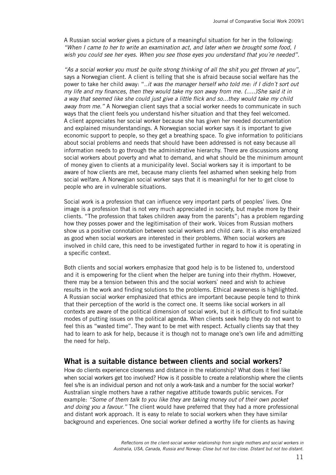A Russian social worker gives a picture of a meaningful situation for her in the following: *"When I came to her to write an examination act, and later when we brought some food, I wish you could see her eyes. When you see those eyes you understand that you´re needed"*.

*"As a social worker you must be quite strong thinking of all the shit you get thrown at you",* says a Norwegian client. A client is telling that she is afraid because social welfare has the power to take her child away: "..*it was the manager herself who told me: if I didn´t sort out my life and my finances, then they would take my son away from me. (.....)She said it in a way that seemed like she could just give a little flick and so...they would take my child away from me."* A Norwegian client says that a social worker needs to communicate in such ways that the client feels you understand his/her situation and that they feel welcomed. A client appreciates her social worker because she has given her needed documentation and explained misunderstandings. A Norwegian social worker says it is important to give economic support to people, so they get a breathing space. To give information to politicians about social problems and needs that should have been addressed is not easy because all information needs to go through the administrative hierarchy. There are discussions among social workers about poverty and what to demand, and what should be the minimum amount of money given to clients at a municipality level. Social workers say it is important to be aware of how clients are met, because many clients feel ashamed when seeking help from social welfare. A Norwegian social worker says that it is meaningful for her to get close to people who are in vulnerable situations.

Social work is a profession that can influence very important parts of peoples' lives. One image is a profession that is not very much appreciated in society, but maybe more by their clients. "The profession that takes children away from the parents"; has a problem regarding how they posses power and the legitimisation of their work. Voices from Russian mothers show us a positive connotation between social workers and child care. It is also emphasized as good when social workers are interested in their problems. When social workers are involved in child care, this need to be investigated further in regard to how it is operating in a specific context.

Both clients and social workers emphasize that good help is to be listened to, understood and it is empowering for the client when the helper are tuning into their rhythm. However, there may be a tension between this and the social workers` need and wish to achieve results in the work and finding solutions to the problems. Ethical awareness is highlighted. A Russian social worker emphasized that ethics are important because people tend to think that their perception of the world is the correct one. It seems like social workers in all contexts are aware of the political dimension of social work, but it is difficult to find suitable modes of putting issues on the political agenda. When clients seek help they do not want to feel this as "wasted time". They want to be met with respect. Actually clients say that they had to learn to ask for help, because it is though not to manage one's own life and admitting the need for help.

#### **What is a suitable distance between clients and social workers?**

How do clients experience closeness and distance in the relationship? What does it feel like when social workers get too involved? How is it possible to create a relationship where the clients feel s/he is an individual person and not only a work-task and a number for the social worker? Australian single mothers have a rather negative attitude towards public services. For example: *"Some of them talk to you like they are taking money out of their own pocket and doing you a favour."* The client would have preferred that they had a more professional and distant work approach. It is easy to relate to social workers when they have similar background and experiences. One social worker defined a worthy life for clients as having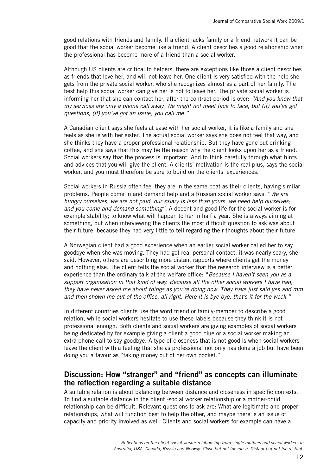good relations with friends and family. If a client lacks family or a friend network it can be good that the social worker become like a friend. A client describes a good relationship when the professional has become more of a friend than a social worker.

Although US clients are critical to helpers, there are exceptions like those a client describes as friends that love her, and will not leave her. One client is very satisfied with the help she gets from the private social worker, who she recognizes almost as a part of her family. The best help this social worker can give her is not to leave her. The private social worker is informing her that she can contact her, after the contract period is over: *"And you know that my services are only a phone call away. We might not meet face to face, but (if) you've got questions, (if) you've got an issue, you call me."* 

A Canadian client says she feels at ease with her social worker, it is like a family and she feels as she is with her sister. The actual social worker says she does not feel that way, and she thinks they have a proper professional relationship. But they have gone out drinking coffee, and she says that this may be the reason why the client looks upon her as a friend. Social workers say that the process is important. And to think carefully through what hints and advices that you will give the client. A clients' motivation is the real plus, says the social worker, and you must therefore be sure to build on the clients' experiences.

Social workers in Russia often feel they are in the same boat as their clients, having similar problems. People come in and demand help and a Russian social worker says: "*We are hungry ourselves, we are not paid, our salary is less than yours, we need help ourselves; and you come and demand something".* A decent and good life for the social worker is for example stability; to know what will happen to her in half a year. She is always aiming at something, but when interviewing the clients the most difficult question to ask was about their future, because they had very little to tell regarding their thoughts about their future.

A Norwegian client had a good experience when an earlier social worker called her to say goodbye when she was moving. They had got real personal contact, it was nearly scary, she said. However, others are describing more distant rapports where clients get the money and nothing else. The client tells the social worker that the research interview is a better experience than the ordinary talk at the welfare office: "*Because I haven't seen you as a support organisation in that kind of way. Because all the other social workers I have had, they have never asked me about things as you're doing now. They have just said yes and mm and then shown me out of the office, all right. Here it is bye bye, that's it for the week."*

In different countries clients use the word friend or family-member to describe a good relation, while social workers hesitate to use these labels because they think it is not professional enough. Both clients and social workers are giving examples of social workers being dedicated by for example giving a client a good clue or a social worker making an extra phone-call to say goodbye. A type of closeness that is not good is when social workers leave the client with a feeling that she as professional not only has done a job but have been doing you a favour as "taking money out of her own pocket."

#### **Discussion: How "stranger" and "friend" as concepts can illuminate the reflection regarding a suitable distance**

A suitable relation is about balancing between distance and closeness in specific contexts. To find a suitable distance in the client -social worker relationship or a mother-child relationship can be difficult. Relevant questions to ask are: What are legitimate and proper relationships, what will function best to help the other, and maybe there is an issue of capacity and priority involved as well. Clients and social workers for example can have a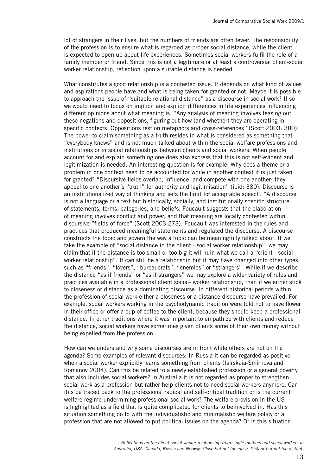lot of strangers in their lives, but the numbers of friends are often fewer. The responsibility of the profession is to ensure what is regarded as proper social distance, while the client is expected to open up about life experiences. Sometimes social workers fulfil the role of a family member or friend. Since this is not a legitimate or at least a controversial client-social worker relationship, reflection upon a suitable distance is needed.

What constitutes a good relationship is a contested issue. It depends on what kind of values and aspirations people have and what is being taken for granted or not. Maybe it is possible to approach the issue of "suitable relational distance" as a discourse in social work? If so we would need to focus on implicit and explicit differences in life experiences influencing different opinions about what meaning is. "Any analysis of meaning involves teasing out these negations and oppositions, figuring out how (and whether) they are operating in specific contexts. Oppositions rest on metaphors and cross-references "(Scott 2003: 380). The power to claim something as a truth resides in what is considered as something that "everybody knows" and is not much talked about within the social welfare professions and institutions or in social relationships between clients and social workers. When people account for and explain something one does also express that this is not self-evident and legitimization is needed. An interesting question is for example: Why does a theme or a problem in one context need to be accounted for while in another context it is just taken for granted? "Discursive fields overlap, influence, and compete with one another; they appeal to one another´s "truth" for authority and legitimisation" (ibid: 380). Discourse is an institutionalized way of thinking and sets the limit for acceptable speech. "A discourse is not a language or a text but historically, socially, and institutionally specific structure of statements, terms, categories, and beliefs. Foucault suggests that the elaboration of meaning involves conflict and power, and that meaning are locally contested within discursive "fields of force" (Scott 2003:273). Foucault was interested in the rules and practices that produced meaningful statements and regulated the discourse. A discourse constructs the topic and govern the way a topic can be meaningfully talked about. If we take the example of "social distance in the client - social worker relationship", we may claim that if the distance is too small or too big it will ruin what we call a "client - social worker relationship". It can still be a relationship but it may have changed into other types such as "friends", "lovers", "bureaucrats", "enemies" or "strangers". While if we describe the distance "as if friends" or "as if strangers" we may explore a wider variety of rules and practices available in a professional client social- worker relationship, than if we either stick to closeness or distance as a dominating discourse. In different historical periods within the profession of social work either a closeness or a distance discourse have prevailed. For example, social workers working in the psychodynamic tradition were told not to have flower in their office or offer a cup of coffee to the client, because they should keep a professional distance. In other traditions where it was important to empathize with clients and reduce the distance, social workers have sometimes given clients some of their own money without being expelled from the profession.

How can we understand why some discourses are in front while others are not on the agenda? Some examples of relevant discourses: In Russia it can be regarded as positive when a social worker explicitly learns something from clients (Iairskaia-Smirnova and Romanov 2004). Can this be related to a newly established profession or a general poverty that also includes social workers? In Australia it is not regarded as proper to strengthen social work as a profession but rather help clients not to need social workers anymore. Can this be traced back to the professions' radical and self-critical tradition or is the current welfare regime undermining professional social work? The welfare provision in the US is highlighted as a field that is quite complicated for clients to be involved in. Has this situation something do to with the individualistic and minimalistic welfare policy or a profession that are not allowed to put political issues on the agenda? Or is this situation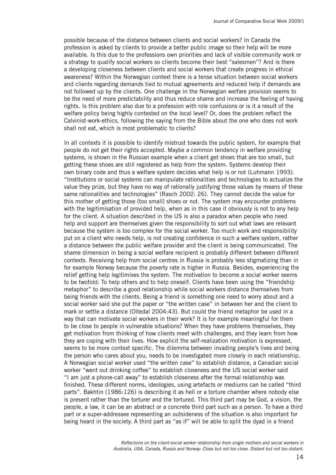possible because of the distance between clients and social workers? In Canada the profession is asked by clients to provide a better public image so their help will be more available. Is this due to the professions own priorities and lack of visible community work or a strategy to qualify social workers so clients become their best "salesmen"? And is there a developing closeness between clients and social workers that create progress in ethical awareness? Within the Norwegian context there is a tense situation between social workers and clients regarding demands tied to mutual agreements and reduced help if demands are not followed up by the clients. One challenge in the Norwegian welfare provision seems to be the need of more predictability and thus reduce shame and increase the feeling of having rights. Is this problem also due to a profession with role confusions or is it a result of the welfare policy being highly contested on the local level? Or, does the problem reflect the Calvinist-work-ethics, following the saying from the Bible about the one who does not work shall not eat, which is most problematic to clients?

In all contexts it is possible to identify mistrust towards the public system, for example that people do not get their rights accepted. Maybe a common tendency in welfare providing systems, is shown in the Russian example when a client get shoes that are too small, but getting these shoes are still registered as help from the system. Systems develop their own binary code and thus a welfare system decides what help is or not (Luhmann 1993). "Institutions or social systems can manipulate rationalities and technologies to actualize the value they prize, but they have no way of rationally justifying those values by means of these same rationalities and technologies" (Rasch 2002: 26). They cannot decide the value for this mother of getting those (too small) shoes or not. The system may encounter problems with the legitimisation of provided help, when as in this case it obviously is not to any help for the client. A situation described in the US is also a paradox when people who need help and support are themselves given the responsibility to sort out what laws are relevant because the system is too complex for the social worker. Too much work and responsibility put on a client who needs help, is not creating confidence in such a welfare system, rather a distance between the public welfare provider and the client is being communicated. The shame dimension in being a social welfare recipient is probably different between different contexts. Receiving help from social centres in Russia is probably less stigmatizing than in for example Norway because the poverty rate is higher in Russia. Besides, experiencing the relief getting help legitimises the system. The motivation to become a social worker seems to be twofold: To help others and to help oneself. Clients have been using the "friendship metaphor" to describe a good relationship while social workers distance themselves from being friends with the clients. Being a friend is something one need to worry about and a social worker said she put the paper or "the written case" in between her and the client to mark or settle a distance (Oltedal 2004:43). But could the friend metaphor be used in a way that can motivate social workers in their work? It is for example meaningful for them to be close to people in vulnerable situations? When they have problems themselves, they get motivation from thinking of how clients meet with challenges, and they learn from how they are coping with their lives. How explicit the self-realization motivation is expressed, seems to be more context specific. The dilemma between invading people's lives and being the person who cares about you, needs to be investigated more closely in each relationship. A Norwegian social worker used "the written case" to establish distance, a Canadian social worker "went out drinking coffee" to establish closeness and the US social worker said "I am just a phone-call away" to establish closeness after the formal relationship was finished. These different norms, ideologies, using artefacts or mediums can be called "third parts". Bakhtin (1986:126) is describing it as hell or a torture chamber where nobody else is present rather than the torturer and the tortured. This third part may be God, a vision, the people, a law, it can be an abstract or a concrete third part such as a person. To have a third part or a super-addressee representing an outsideness of the situation is also important for being heard in the society. A third part as "as if" will be able to split the dyad in a friend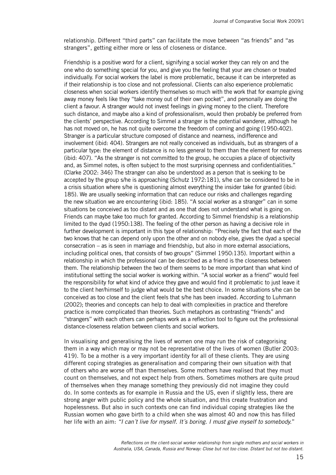relationship. Different "third parts" can facilitate the move between "as friends" and "as strangers", getting either more or less of closeness or distance.

Friendship is a positive word for a client, signifying a social worker they can rely on and the one who do something special for you, and give you the feeling that your are chosen or treated individually. For social workers the label is more problematic, because it can be interpreted as if their relationship is too close and not professional. Clients can also experience problematic closeness when social workers identify themselves so much with the work that for example giving away money feels like they "take money out of their own pocket", and personally are doing the client a favour. A stranger would not invest feelings in giving money to the client. Therefore such distance, and maybe also a kind of professionalism, would then probably be preferred from the clients' perspective. According to Simmel a stranger is the potential wanderer, although he has not moved on, he has not quite overcome the freedom of coming and going (1950:402). Stranger is a particular structure composed of distance and nearness, indifference and involvement (ibid: 404). Strangers are not really conceived as individuals, but as strangers of a particular type: the element of distance is no less general to them than the element for nearness (ibid: 407). "As the stranger is not committed to the group, he occupies a place of objectivity and, as Simmel notes, is often subject to the most surprising openness and confidentialities." (Clarke 2002: 346) The stranger can also be understood as a person that is seeking to be accepted by the group s/he is approaching (Schutz 1972:181), s/he can be considered to be in a crisis situation where s/he is questioning almost everything the insider take for granted (ibid: 185). We are usually seeking information that can reduce our risks and challenges regarding the new situation we are encountering (ibid: 185). "A social worker as a stranger" can in some situations be conceived as too distant and as one that does not understand what is going on. Friends can maybe take too much for granted. According to Simmel friendship is a relationship limited to the dyad (1950:138). The feeling of the other person as having a decisive role in further development is important in this type of relationship: "Precisely the fact that each of the two knows that he can depend only upon the other and on nobody else, gives the dyad a special consecration – as is seen in marriage and friendship, but also in more external associations, including political ones, that consists of two groups" (Simmel 1950:135). Important within a relationship in which the professional can be described as a friend is the closeness between them. The relationship between the two of them seems to be more important than what kind of institutional setting the social worker is working within. "A social worker as a friend" would feel the responsibility for what kind of advice they gave and would find it problematic to just leave it to the client her/himself to judge what would be the best choice. In some situations s/he can be conceived as too close and the client feels that s/he has been invaded. According to Luhmann (2002); theories and concepts can help to deal with complexities in practice and therefore practice is more complicated than theories. Such metaphors as contrasting "friends" and "strangers" with each others can perhaps work as a reflection tool to figure out the professional distance-closeness relation between clients and social workers.

In visualising and generalising the lives of women one may run the risk of categorising them in a way which may or may not be representative of the lives of women (Butler 2003: 419). To be a mother is a very important identity for all of these clients. They are using different coping strategies as generalisation and comparing their own situation with that of others who are worse off than themselves. Some mothers have realised that they must count on themselves, and not expect help from others. Sometimes mothers are quite proud of themselves when they manage something they previously did not imagine they could do. In some contexts as for example in Russia and the US, even if slightly less, there are strong anger with public policy and the whole situation, and this create frustration and hopelessness. But also in such contexts one can find individual coping strategies like the Russian women who gave birth to a child when she was almost 40 and now this has filled her life with an aim: *"I can´t live for myself. It´s boring. I must give myself to somebody.*"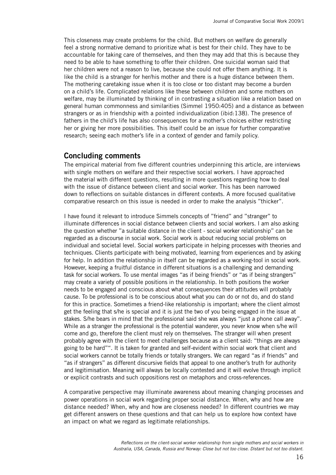This closeness may create problems for the child. But mothers on welfare do generally feel a strong normative demand to prioritize what is best for their child. They have to be accountable for taking care of themselves, and then they may add that this is because they need to be able to have something to offer their children. One suicidal woman said that her children were not a reason to live, because she could not offer them anything. It is like the child is a stranger for her/his mother and there is a huge distance between them. The mothering caretaking issue when it is too close or too distant may become a burden on a child's life. Complicated relations like these between children and some mothers on welfare, may be illuminated by thinking of in contrasting a situation like a relation based on general human commonness and similarities (Simmel 1950:405) and a distance as between strangers or as in friendship with a pointed individualization (ibid:138). The presence of fathers in the child's life has also consequences for a mother's choices either restricting her or giving her more possibilities. This itself could be an issue for further comparative research; seeing each mother's life in a context of gender and family policy.

#### **Concluding comments**

The empirical material from five different countries underpinning this article, are interviews with single mothers on welfare and their respective social workers. I have approached the material with different questions, resulting in more questions regarding how to deal with the issue of distance between client and social worker. This has been narrowed down to reflections on suitable distances in different contexts. A more focused qualitative comparative research on this issue is needed in order to make the analysis "thicker".

I have found it relevant to introduce Simmels concepts of "friend" and "stranger" to illuminate differences in social distance between clients and social workers. I am also asking the question whether "a suitable distance in the client - social worker relationship" can be regarded as a discourse in social work. Social work is about reducing social problems on individual and societal level. Social workers participate in helping processes with theories and techniques. Clients participate with being motivated, learning from experiences and by asking for help. In addition the relationship in itself can be regarded as a working-tool in social work. However, keeping a fruitful distance in different situations is a challenging and demanding task for social workers. To use mental images "as if being friends" or "as if being strangers" may create a variety of possible positions in the relationship. In both positions the worker needs to be engaged and conscious about what consequences their attitudes will probably cause. To be professional is to be conscious about what you can do or not do, and do stand for this in practice. Sometimes a friend-like relationship is important; where the client almost get the feeling that s/he is special and it is just the two of you being engaged in the issue at stakes. S/he bears in mind that the professional said she was always "just a phone call away". While as a stranger the professional is the potential wanderer, you never know when s/he will come and go, therefore the client must rely on themselves. The stranger will when present probably agree with the client to meet challenges because as a client said: "things are always going to be hard"". It is taken for granted and self-evident within social work that client and social workers cannot be totally friends or totally strangers. We can regard "as if friends" and "as if strangers" as different discursive fields that appeal to one another's truth for authority and legitimisation. Meaning will always be locally contested and it will evolve through implicit or explicit contrasts and such oppositions rest on metaphors and cross-references.

A comparative perspective may illuminate awareness about meaning changing processes and power operations in social work regarding proper social distance. When, why and how are distance needed? When, why and how are closeness needed? In different countries we may get different answers on these questions and that can help us to explore how context have an impact on what we regard as legitimate relationships.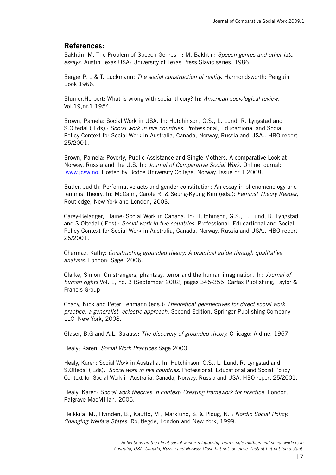## **References:**

Bakhtin, M. The Problem of Speech Genres. I: M. Bakhtin: *Speech genres and other late essays*. Austin Texas USA: University of Texas Press Slavic series. 1986.

Berger P. L & T. Luckmann: *The social construction of reality.* Harmondsworth: Penguin Book 1966.

Blumer,Herbert: What is wrong with social theory? In: *American sociological review.*  Vol.19,nr.1 1954.

Brown, Pamela: Social Work in USA. In: Hutchinson, G.S., L. Lund, R. Lyngstad and S.Oltedal ( Eds).: *Social work in five countries.* Professional, Educartional and Social Policy Context for Social Work in Australia, Canada, Norway, Russia and USA.. HBO-report 25/2001.

Brown, Pamela: Poverty, Public Assistance and Single Mothers. A comparative Look at Norway, Russia and the U.S. In: *Journal of Comparative Social Work.* Online journal: www.jcsw.no. Hosted by Bodoe University College, Norway. Issue nr 1 2008.

Butler. Judith: Performative acts and gender constitution: An essay in phenomenology and feminist theory. In: McCann, Carole R. & Seung-Kyung Kim (eds.): *Feminst Theory Reader,*  Routledge, New York and London, 2003.

Carey-Belanger, Elaine: Social Work in Canada. In: Hutchinson, G.S., L. Lund, R. Lyngstad and S.Oltedal ( Eds).: *Social work in five countries.* Professional, Educartional and Social Policy Context for Social Work in Australia, Canada, Norway, Russia and USA.. HBO-report 25/2001.

Charmaz, Kathy: *Constructing grounded theory: A practical guide through qualitative analysis*. London: Sage. 2006.

Clarke, Simon: On strangers, phantasy, terror and the human imagination. In: *Journal of human rights* Vol. 1, no. 3 (September 2002) pages 345-355. Carfax Publishing, Taylor & Francis Group

Coady, Nick and Peter Lehmann (eds.): *Theoretical perspectives for direct social work practice: a generalist- eclectic approach.* Second Edition. Springer Publishing Company LLC, New York, 2008.

Glaser, B.G and A.L. Strauss: *The discovery of grounded theory.* Chicago: Aldine. 1967

Healy; Karen: *Social Work Practices* Sage 2000.

Healy, Karen: Social Work in Australia. In: Hutchinson, G.S., L. Lund, R. Lyngstad and S.Oltedal ( Eds).: *Social work in five countries.* Professional, Educational and Social Policy Context for Social Work in Australia, Canada, Norway, Russia and USA. HBO-report 25/2001.

Healy, Karen: *Social work theories in context: Creating framework for practice.* London, Palgrave MacMIllan. 2005.

Heikkilä, M., Hvinden, B., Kautto, M., Marklund, S. & Ploug, N. : *Nordic Social Policy. Changing Welfare States.* Routlegde, London and New York, 1999.